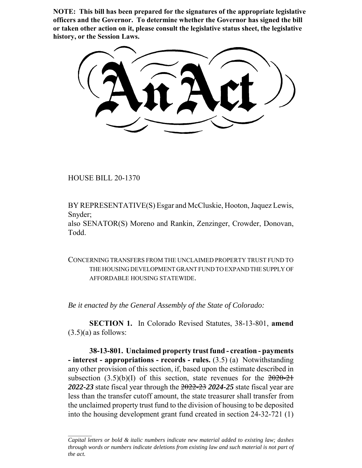**NOTE: This bill has been prepared for the signatures of the appropriate legislative officers and the Governor. To determine whether the Governor has signed the bill or taken other action on it, please consult the legislative status sheet, the legislative history, or the Session Laws.**

HOUSE BILL 20-1370

BY REPRESENTATIVE(S) Esgar and McCluskie, Hooton, Jaquez Lewis, Snyder;

also SENATOR(S) Moreno and Rankin, Zenzinger, Crowder, Donovan, Todd.

CONCERNING TRANSFERS FROM THE UNCLAIMED PROPERTY TRUST FUND TO THE HOUSING DEVELOPMENT GRANT FUND TO EXPAND THE SUPPLY OF AFFORDABLE HOUSING STATEWIDE.

*Be it enacted by the General Assembly of the State of Colorado:*

**SECTION 1.** In Colorado Revised Statutes, 38-13-801, **amend**  $(3.5)(a)$  as follows:

**38-13-801. Unclaimed property trust fund - creation - payments - interest - appropriations - records - rules.** (3.5) (a) Notwithstanding any other provision of this section, if, based upon the estimate described in subsection  $(3.5)(b)(I)$  of this section, state revenues for the  $2020-21$ *2022-23* state fiscal year through the 2022-23 *2024-25* state fiscal year are less than the transfer cutoff amount, the state treasurer shall transfer from the unclaimed property trust fund to the division of housing to be deposited into the housing development grant fund created in section 24-32-721 (1)

*Capital letters or bold & italic numbers indicate new material added to existing law; dashes through words or numbers indicate deletions from existing law and such material is not part of the act.*